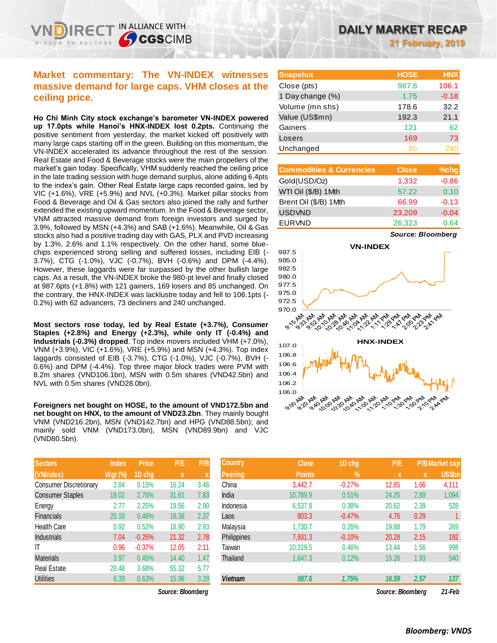# **Market commentary: The VN-INDEX witnesses massive demand for large caps. VHM closes at the ceiling price.**

IN ALLIANCE WITH

**SCGSCIMB** 

**Ho Chi Minh City stock exchange's barometer VN-INDEX powered up 17.0pts while Hanoi's HNX-INDEX lost 0.2pts.** Continuing the positive sentiment from yesterday, the market kicked off positively with many large caps starting off in the green. Building on this momentum, the VN-INDEX accelerated its advance throughout the rest of the session. Real Estate and Food & Beverage stocks were the main propellers of the market's gain today. Specifically, VHM suddenly reached the ceiling price in the late trading session with huge demand surplus, alone adding 6.4pts to the index's gain. Other Real Estate large caps recorded gains, led by VIC (+1.6%), VRE (+5.9%) and NVL (+0.3%). Market pillar stocks from Food & Beverage and Oil & Gas sectors also joined the rally and further extended the existing upward momentum. In the Food & Beverage sector, VNM attracted massive demand from foreign investors and surged by 3.9%, followed by MSN (+4.3%) and SAB (+1.6%). Meanwhile, Oil & Gas stocks also had a positive trading day with GAS, PLX and PVD increasing by 1.3%, 2.6% and 1.1% respectively. On the other hand, some bluechips experienced strong selling and suffered losses, including EIB (- 3.7%), CTG (-1.0%), VJC (-0.7%), BVH (-0.6%) and DPM (-4.4%). However, these laggards were far surpassed by the other bullish large caps. As a result, the VN-INDEX broke the 980-pt level and finally closed at 987.6pts (+1.8%) with 121 gainers, 169 losers and 85 unchanged. On the contrary, the HNX-INDEX was lacklustre today and fell to 106.1pts (- 0.2%) with 62 advancers, 73 decliners and 240 unchanged.

**Most sectors rose today, led by Real Estate (+3.7%), Consumer Staples (+2.8%) and Energy (+2.3%), while only IT (-0.4%) and Industrials (-0.3%) dropped**. Top index movers included VHM (+7.0%), VNM (+3.9%), VIC (+1.6%), VRE (+5.9%) and MSN (+4.3%). Top index laggards consisted of EIB (-3.7%), CTG (-1.0%), VJC (-0.7%), BVH (- 0.6%) and DPM (-4.4%). Top three major block trades were PVM with 8.2m shares (VND106.1bn), MSN with 0.5m shares (VND42.5bn) and NVL with 0.5m shares (VND28.0bn).

**Foreigners net bought on HOSE, to the amount of VND172.5bn and net bought on HNX, to the amount of VND23.2bn**. They mainly bought VNM (VND216.2bn), MSN (VND142.7bn) and HPG (VND88.5bn); and mainly sold VNM (VND173.0bn), MSN (VND89.9bn) and VJC (VND80.5bn).

| <b>Sectors</b>                | <b>Index</b>   | <b>Price</b> | P/E   | P/B  |
|-------------------------------|----------------|--------------|-------|------|
| (VNIndex)                     | <b>Wgt (%)</b> | 1D chg       | X     | X    |
| <b>Consumer Discretionary</b> | 2.84           | 0.15%        | 16.24 | 3.46 |
| <b>Consumer Staples</b>       | 19.02          | 2.76%        | 31.61 | 7.83 |
| Energy                        | 2.77           | 2.25%        | 19.56 | 2.90 |
| Financials                    | 25.18          | 0.46%        | 18.38 | 2.37 |
| <b>Health Care</b>            | 0.92           | 0.52%        | 18.90 | 2.93 |
| <b>Industrials</b>            | 7.04           | $-0.26%$     | 21.32 | 2.78 |
| IT                            | 0.96           | $-0.37%$     | 12.05 | 2.11 |
| <b>Materials</b>              | 3.97           | 0.45%        | 14.40 | 1.47 |
| <b>Real Estate</b>            | 28.48          | 3.68%        | 55.32 | 5.77 |
| <b>Utilities</b>              | 8.39           | 0.63%        | 15.96 | 3.28 |

 $Source: Bloomberg$ 

**21 February, 2019**

| <b>Snapshot</b>  | <b>HOSE</b> | <b>HNX</b> |
|------------------|-------------|------------|
| Close (pts)      | 987.6       | 106.1      |
| 1 Day change (%) | 1.75        | $-0.18$    |
| Volume (mn shs)  | 178.6       | 32.2       |
| Value (US\$mn)   | 192.3       | 21.1       |
| Gainers          | 121         | 62         |
| Losers           | 169         | 73         |
| Unchanged        | 85          | 240        |

| <b>Commodities &amp; Currencies</b> | <b>Close</b> | %chg    |
|-------------------------------------|--------------|---------|
| Gold(USD/Oz)                        | 1,332        | $-0.86$ |
| WTI Oil (\$/B) 1Mth                 | 57.22        | 0.10    |
| Brent Oil (\$/B) 1Mth               | 66.99        | $-0.13$ |
| <b>USDVND</b>                       | 23,209       | $-0.04$ |
| <b>EURVND</b>                       | 26,323       | 0.64    |

*Source: Bloomberg*



| <b>Sectors</b>                | Index          | <b>Price</b> | P/E               | P/B  | <b>Country</b> | <b>Close</b>  | 1D chg        | P/E               |             | P/B Market cap |
|-------------------------------|----------------|--------------|-------------------|------|----------------|---------------|---------------|-------------------|-------------|----------------|
| (VNIndex)                     | <b>Wgt (%)</b> | 1D chg       | $\mathbf{x}$      |      | Peering        | <b>Points</b> | $\frac{9}{6}$ | $\mathbf{x}$      | $\mathbf x$ | US\$bn         |
| <b>Consumer Discretionary</b> | 2.84           | 0.15%        | 16.24             | 3.46 | China          | 3,442.7       | $-0.27%$      | 12.85             | 1.66        | 4,111          |
| <b>Consumer Staples</b>       | 19.02          | 2.76%        | 31.61             | 7.83 | India          | 10,789.9      | 0.51%         | 24.25             | 2.89        | 1,094          |
| Energy                        | 2.77           | 2.25%        | 19.56             | 2.90 | Indonesia      | 6,537.8       | 0.38%         | 20.62             | 2.39        | 528            |
| <b>Financials</b>             | 25.18          | 0.46%        | 18.38             | 2.37 | Laos           | 803.3         | $-0.47%$      | 4.76              | 0.29        |                |
| Health Care                   | 0.92           | 0.52%        | 18.90             | 2.93 | Malaysia       | 1,730.7       | 0.26%         | 19.88             | 1.79        | 269            |
| <b>Industrials</b>            | 7.04           | $-0.26%$     | 21.32             | 2.78 | Philippines    | 7,931.3       | $-0.10%$      | 20.28             | 2.15        | 192            |
| ΙT                            | 0.96           | $-0.37%$     | 12.05             | 2.11 | Taiwan         | 10,319.5      | 0.46%         | 13.44             | 1.56        | 998            |
| Materials                     | 3.97           | 0.45%        | 14.40             | 1.47 | Thailand       | 1,647.3       | 0.12%         | 15.26             | 1.93        | 540            |
| Real Estate                   | 28.48          | 3.68%        | 55.32             | 5.77 |                |               |               |                   |             |                |
| <b>Utilities</b>              | 8.39           | 0.63%        | 15.96             | 3.28 | <b>Vietnam</b> | 987.6         | 1.75%         | 16.59             | 2.57        | 137            |
|                               |                |              | Source: Bloomberg |      |                |               |               | Source: Bloomberg |             | 21-Feb         |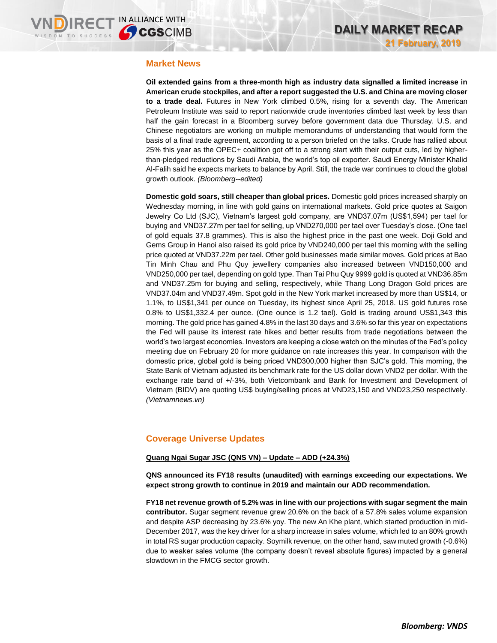### **Market News**

**Oil extended gains from a three-month high as industry data signalled a limited increase in American crude stockpiles, and after a report suggested the U.S. and China are moving closer to a trade deal.** Futures in New York climbed 0.5%, rising for a seventh day. The American Petroleum Institute was said to report nationwide crude inventories climbed last week by less than half the gain forecast in a Bloomberg survey before government data due Thursday. U.S. and Chinese negotiators are working on multiple memorandums of understanding that would form the basis of a final trade agreement, according to a person briefed on the talks. Crude has rallied about 25% this year as the OPEC+ coalition got off to a strong start with their output cuts, led by higherthan-pledged reductions by Saudi Arabia, the world's top oil exporter. Saudi Energy Minister Khalid Al-Falih said he expects markets to balance by April. Still, the trade war continues to cloud the global growth outlook. *(Bloomberg--edited)*

**Domestic gold soars, still cheaper than global prices.** Domestic gold prices increased sharply on Wednesday morning, in line with gold gains on international markets. Gold price quotes at Saigon Jewelry Co Ltd (SJC), Vietnam's largest gold company, are VND37.07m (US\$1,594) per tael for buying and VND37.27m per tael for selling, up VND270,000 per tael over Tuesday's close. (One tael of gold equals 37.8 grammes). This is also the highest price in the past one week. Doji Gold and Gems Group in Hanoi also raised its gold price by VND240,000 per tael this morning with the selling price quoted at VND37.22m per tael. Other gold businesses made similar moves. Gold prices at Bao Tin Minh Chau and Phu Quy jewellery companies also increased between VND150,000 and VND250,000 per tael, depending on gold type. Than Tai Phu Quy 9999 gold is quoted at VND36.85m and VND37.25m for buying and selling, respectively, while Thang Long Dragon Gold prices are VND37.04m and VND37.49m. Spot gold in the New York market increased by more than US\$14, or 1.1%, to US\$1,341 per ounce on Tuesday, its highest since April 25, 2018. US gold futures rose 0.8% to US\$1,332.4 per ounce. (One ounce is 1.2 tael). Gold is trading around US\$1,343 this morning. The gold price has gained 4.8% in the last 30 days and 3.6% so far this year on expectations the Fed will pause its interest rate hikes and better results from trade negotiations between the world's two largest economies. Investors are keeping a close watch on the minutes of the Fed's policy meeting due on February 20 for more guidance on rate increases this year. In comparison with the domestic price, global gold is being priced VND300,000 higher than SJC's gold. This morning, the State Bank of Vietnam adjusted its benchmark rate for the US dollar down VND2 per dollar. With the exchange rate band of +/-3%, both Vietcombank and Bank for Investment and Development of Vietnam (BIDV) are quoting US\$ buying/selling prices at VND23,150 and VND23,250 respectively. *(Vietnamnews.vn)*

## **Coverage Universe Updates**

### **Quang Ngai Sugar JSC (QNS VN) – Update – ADD (+24.3%)**

**QNS announced its FY18 results (unaudited) with earnings exceeding our expectations. We expect strong growth to continue in 2019 and maintain our ADD recommendation.**

**FY18 net revenue growth of 5.2% was in line with our projections with sugar segment the main contributor.** Sugar segment revenue grew 20.6% on the back of a 57.8% sales volume expansion and despite ASP decreasing by 23.6% yoy. The new An Khe plant, which started production in mid-December 2017, was the key driver for a sharp increase in sales volume, which led to an 80% growth in total RS sugar production capacity. Soymilk revenue, on the other hand, saw muted growth (-0.6%) due to weaker sales volume (the company doesn't reveal absolute figures) impacted by a general slowdown in the FMCG sector growth.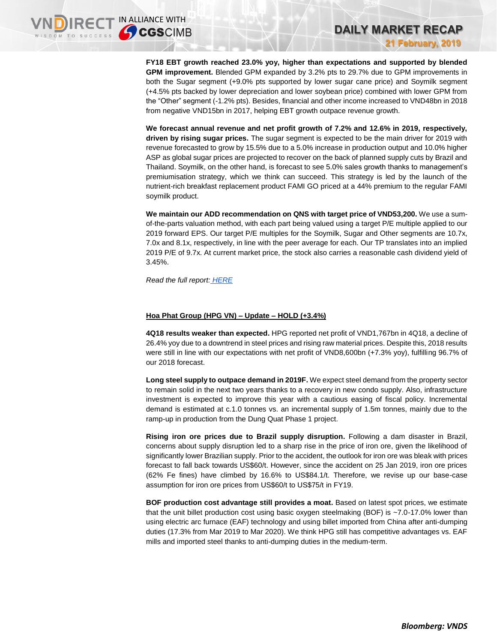**FY18 EBT growth reached 23.0% yoy, higher than expectations and supported by blended GPM improvement.** Blended GPM expanded by 3.2% pts to 29.7% due to GPM improvements in both the Sugar segment (+9.0% pts supported by lower sugar cane price) and Soymilk segment (+4.5% pts backed by lower depreciation and lower soybean price) combined with lower GPM from the "Other" segment (-1.2% pts). Besides, financial and other income increased to VND48bn in 2018 from negative VND15bn in 2017, helping EBT growth outpace revenue growth.

**DAILY MARKET RECAP** 

**21 February, 2019**

**We forecast annual revenue and net profit growth of 7.2% and 12.6% in 2019, respectively, driven by rising sugar prices.** The sugar segment is expected to be the main driver for 2019 with revenue forecasted to grow by 15.5% due to a 5.0% increase in production output and 10.0% higher ASP as global sugar prices are projected to recover on the back of planned supply cuts by Brazil and Thailand. Soymilk, on the other hand, is forecast to see 5.0% sales growth thanks to management's premiumisation strategy, which we think can succeed. This strategy is led by the launch of the nutrient-rich breakfast replacement product FAMI GO priced at a 44% premium to the regular FAMI soymilk product.

**We maintain our ADD recommendation on QNS with target price of VND53,200.** We use a sumof-the-parts valuation method, with each part being valued using a target P/E multiple applied to our 2019 forward EPS. Our target P/E multiples for the Soymilk, Sugar and Other segments are 10.7x, 7.0x and 8.1x, respectively, in line with the peer average for each. Our TP translates into an implied 2019 P/E of 9.7x. At current market price, the stock also carries a reasonable cash dividend yield of 3.45%.

*Read the full report: [HERE](https://static-02.vndirect.com.vn/uploads/prod/QNS_Update_20190221.pdf)*

### **Hoa Phat Group (HPG VN) – Update – HOLD (+3.4%)**

**4Q18 results weaker than expected.** HPG reported net profit of VND1,767bn in 4Q18, a decline of 26.4% yoy due to a downtrend in steel prices and rising raw material prices. Despite this, 2018 results were still in line with our expectations with net profit of VND8,600bn (+7.3% yoy), fulfilling 96.7% of our 2018 forecast.

**Long steel supply to outpace demand in 2019F.** We expect steel demand from the property sector to remain solid in the next two years thanks to a recovery in new condo supply. Also, infrastructure investment is expected to improve this year with a cautious easing of fiscal policy. Incremental demand is estimated at c.1.0 tonnes vs. an incremental supply of 1.5m tonnes, mainly due to the ramp-up in production from the Dung Quat Phase 1 project.

**Rising iron ore prices due to Brazil supply disruption.** Following a dam disaster in Brazil, concerns about supply disruption led to a sharp rise in the price of iron ore, given the likelihood of significantly lower Brazilian supply. Prior to the accident, the outlook for iron ore was bleak with prices forecast to fall back towards US\$60/t. However, since the accident on 25 Jan 2019, iron ore prices (62% Fe fines) have climbed by 16.6% to US\$84.1/t. Therefore, we revise up our base-case assumption for iron ore prices from US\$60/t to US\$75/t in FY19.

**BOF production cost advantage still provides a moat.** Based on latest spot prices, we estimate that the unit billet production cost using basic oxygen steelmaking (BOF) is ~7.0-17.0% lower than using electric arc furnace (EAF) technology and using billet imported from China after anti-dumping duties (17.3% from Mar 2019 to Mar 2020). We think HPG still has competitive advantages vs. EAF mills and imported steel thanks to anti-dumping duties in the medium-term.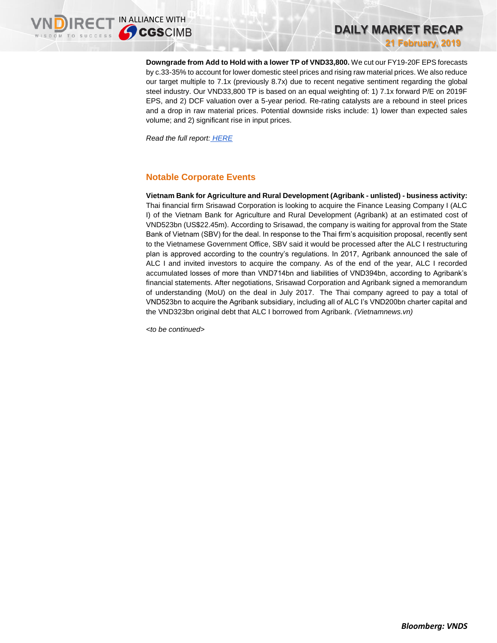**Downgrade from Add to Hold with a lower TP of VND33,800.** We cut our FY19-20F EPS forecasts by c.33-35% to account for lower domestic steel prices and rising raw material prices. We also reduce our target multiple to 7.1x (previously 8.7x) due to recent negative sentiment regarding the global steel industry. Our VND33,800 TP is based on an equal weighting of: 1) 7.1x forward P/E on 2019F EPS, and 2) DCF valuation over a 5-year period. Re-rating catalysts are a rebound in steel prices and a drop in raw material prices. Potential downside risks include: 1) lower than expected sales volume; and 2) significant rise in input prices.

**DAILY MARKET RECAP** 

**21 February, 2019**

*Read the full report: [HERE](https://static-02.vndirect.com.vn/uploads/prod/HPG_Update_20190221.pdf)*

# **Notable Corporate Events**

**Vietnam Bank for Agriculture and Rural Development (Agribank - unlisted) - business activity:**  Thai financial firm Srisawad Corporation is looking to acquire the Finance Leasing Company I (ALC I) of the Vietnam Bank for Agriculture and Rural Development (Agribank) at an estimated cost of VND523bn (US\$22.45m). According to Srisawad, the company is waiting for approval from the State Bank of Vietnam (SBV) for the deal. In response to the Thai firm's acquisition proposal, recently sent to the Vietnamese Government Office, SBV said it would be processed after the ALC I restructuring plan is approved according to the country's regulations. In 2017, Agribank announced the sale of ALC I and invited investors to acquire the company. As of the end of the year, ALC I recorded accumulated losses of more than VND714bn and liabilities of VND394bn, according to Agribank's financial statements. After negotiations, Srisawad Corporation and Agribank signed a memorandum of understanding (MoU) on the deal in July 2017. The Thai company agreed to pay a total of VND523bn to acquire the Agribank subsidiary, including all of ALC I's VND200bn charter capital and the VND323bn original debt that ALC I borrowed from Agribank. *(Vietnamnews.vn)*

*<to be continued>*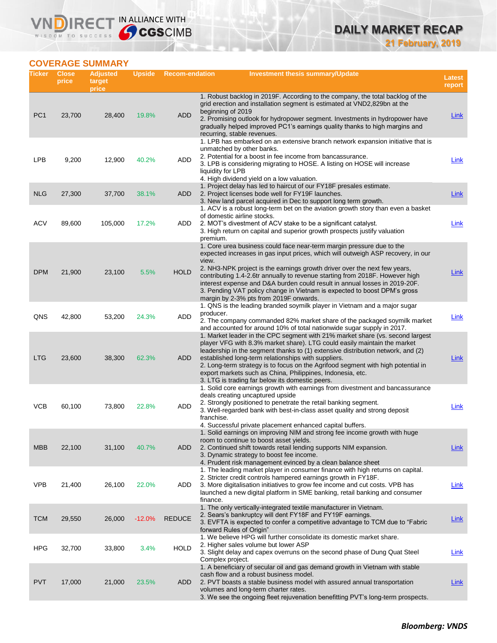# **COVERAGE SUMMARY**

WISDOM TO SUCCESS

**VNDIRECT IN ALLIANCE WITH** 

| Ticker          | <b>Close</b><br>price | <b>Adjusted</b><br>target<br>price | <b>Upside</b> | <b>Recom-endation</b> | <b>Investment thesis summary/Update</b>                                                                                                                                                                                                                                                                                                                                                                                                                                                                                             | Latest<br>report |
|-----------------|-----------------------|------------------------------------|---------------|-----------------------|-------------------------------------------------------------------------------------------------------------------------------------------------------------------------------------------------------------------------------------------------------------------------------------------------------------------------------------------------------------------------------------------------------------------------------------------------------------------------------------------------------------------------------------|------------------|
| PC <sub>1</sub> | 23,700                | 28,400                             | 19.8%         | <b>ADD</b>            | 1. Robust backlog in 2019F. According to the company, the total backlog of the<br>grid erection and installation segment is estimated at VND2,829bn at the<br>beginning of 2019<br>2. Promising outlook for hydropower segment. Investments in hydropower have<br>gradually helped improved PC1's earnings quality thanks to high margins and<br>recurring, stable revenues.                                                                                                                                                        | <b>Link</b>      |
| LPB             | 9,200                 | 12,900                             | 40.2%         | ADD                   | 1. LPB has embarked on an extensive branch network expansion initiative that is<br>unmatched by other banks.<br>2. Potential for a boost in fee income from bancassurance.<br>3. LPB is considering migrating to HOSE. A listing on HOSE will increase<br>liquidity for LPB<br>4. High dividend yield on a low valuation.                                                                                                                                                                                                           | Link             |
| <b>NLG</b>      | 27,300                | 37,700                             | 38.1%         | <b>ADD</b>            | 1. Project delay has led to haircut of our FY18F presales estimate.<br>2. Project licenses bode well for FY19F launches.<br>3. New land parcel acquired in Dec to support long term growth.                                                                                                                                                                                                                                                                                                                                         | Link             |
| ACV             | 89,600                | 105,000                            | 17.2%         | ADD                   | 1. ACV is a robust long-term bet on the aviation growth story than even a basket<br>of domestic airline stocks.<br>2. MOT's divestment of ACV stake to be a significant catalyst.<br>3. High return on capital and superior growth prospects justify valuation<br>premium.                                                                                                                                                                                                                                                          | Link             |
| <b>DPM</b>      | 21,900                | 23,100                             | 5.5%          | <b>HOLD</b>           | 1. Core urea business could face near-term margin pressure due to the<br>expected increases in gas input prices, which will outweigh ASP recovery, in our<br>view.<br>2. NH3-NPK project is the earnings growth driver over the next few years,<br>contributing 1.4-2.6tr annually to revenue starting from 2018F. However high<br>interest expense and D&A burden could result in annual losses in 2019-20F.<br>3. Pending VAT policy change in Vietnam is expected to boost DPM's gross<br>margin by 2-3% pts from 2019F onwards. | Link             |
| QNS             | 42,800                | 53,200                             | 24.3%         | ADD                   | 1. QNS is the leading branded soymilk player in Vietnam and a major sugar<br>producer.<br>2. The company commanded 82% market share of the packaged soymilk market<br>and accounted for around 10% of total nationwide sugar supply in 2017.                                                                                                                                                                                                                                                                                        | Link             |
| <b>LTG</b>      | 23,600                | 38,300                             | 62.3%         | <b>ADD</b>            | 1. Market leader in the CPC segment with 21% market share (vs. second largest<br>player VFG with 8.3% market share). LTG could easily maintain the market<br>leadership in the segment thanks to (1) extensive distribution network, and (2)<br>established long-term relationships with suppliers.<br>2. Long-term strategy is to focus on the Agrifood segment with high potential in<br>export markets such as China, Philippines, Indonesia, etc.<br>3. LTG is trading far below its domestic peers.                            | Link             |
| <b>VCB</b>      | 60,100                | 73,800                             | 22.8%         | ADD                   | 1. Solid core earnings growth with earnings from divestment and bancassurance<br>deals creating uncaptured upside<br>2. Strongly positioned to penetrate the retail banking segment.<br>3. Well-regarded bank with best-in-class asset quality and strong deposit<br>franchise.<br>4. Successful private placement enhanced capital buffers.                                                                                                                                                                                        | Link             |
| <b>MBB</b>      | 22,100                | 31,100                             | 40.7%         | <b>ADD</b>            | 1. Solid earnings on improving NIM and strong fee income growth with huge<br>room to continue to boost asset yields.<br>2. Continued shift towards retail lending supports NIM expansion.<br>3. Dynamic strategy to boost fee income.<br>4. Prudent risk management evinced by a clean balance sheet                                                                                                                                                                                                                                | <b>Link</b>      |
| <b>VPB</b>      | 21,400                | 26,100                             | 22.0%         | ADD                   | 1. The leading market player in consumer finance with high returns on capital.<br>2. Stricter credit controls hampered earnings growth in FY18F.<br>3. More digitalisation initiatives to grow fee income and cut costs. VPB has<br>launched a new digital platform in SME banking, retail banking and consumer<br>finance.                                                                                                                                                                                                         | Link             |
| <b>TCM</b>      | 29,550                | 26,000                             | $-12.0%$      | <b>REDUCE</b>         | 1. The only vertically-integrated textile manufacturer in Vietnam.<br>2. Sears's bankruptcy will dent FY18F and FY19F earnings.<br>3. EVFTA is expected to confer a competitive advantage to TCM due to "Fabric"<br>forward Rules of Origin"                                                                                                                                                                                                                                                                                        | Link             |
| <b>HPG</b>      | 32,700                | 33,800                             | 3.4%          | <b>HOLD</b>           | 1. We believe HPG will further consolidate its domestic market share.<br>2. Higher sales volume but lower ASP<br>3. Slight delay and capex overruns on the second phase of Dung Quat Steel                                                                                                                                                                                                                                                                                                                                          | Link             |
| <b>PVT</b>      | 17,000                | 21,000                             | 23.5%         | <b>ADD</b>            | Complex project.<br>1. A beneficiary of secular oil and gas demand growth in Vietnam with stable<br>cash flow and a robust business model.<br>2. PVT boasts a stable business model with assured annual transportation<br>volumes and long-term charter rates.<br>3. We see the ongoing fleet rejuvenation benefitting PVT's long-term prospects.                                                                                                                                                                                   | <b>Link</b>      |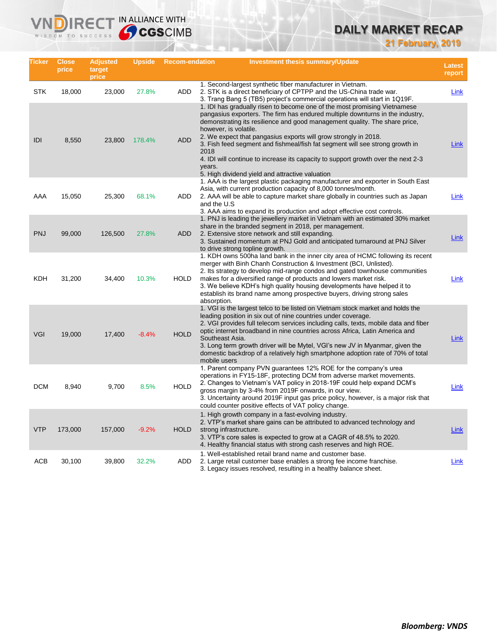# **DAILY MARKET RECAP**

**21 February, 2019**

| Ticker     | <b>Close</b><br>price | <b>Adjusted</b><br>target<br>price | <b>Upside</b> | <b>Recom-endation</b> | <b>Investment thesis summary/Update</b>                                                                                                                                                                                                                                                                                                                                                                                                                                                                                                                                        | <b>Latest</b><br>report |
|------------|-----------------------|------------------------------------|---------------|-----------------------|--------------------------------------------------------------------------------------------------------------------------------------------------------------------------------------------------------------------------------------------------------------------------------------------------------------------------------------------------------------------------------------------------------------------------------------------------------------------------------------------------------------------------------------------------------------------------------|-------------------------|
| <b>STK</b> | 18,000                | 23,000                             | 27.8%         | ADD                   | 1. Second-largest synthetic fiber manufacturer in Vietnam.<br>2. STK is a direct beneficiary of CPTPP and the US-China trade war.<br>3. Trang Bang 5 (TB5) project's commercial operations will start in 1Q19F.                                                                                                                                                                                                                                                                                                                                                                | <b>Link</b>             |
| IDI        | 8,550                 | 23,800                             | 178.4%        | <b>ADD</b>            | 1. IDI has gradually risen to become one of the most promising Vietnamese<br>pangasius exporters. The firm has endured multiple downturns in the industry,<br>demonstrating its resilience and good management quality. The share price,<br>however, is volatile.<br>2. We expect that pangasius exports will grow strongly in 2018.<br>3. Fish feed segment and fishmeal/fish fat segment will see strong growth in<br>2018<br>4. IDI will continue to increase its capacity to support growth over the next 2-3<br>years.<br>5. High dividend yield and attractive valuation | Link                    |
| AAA        | 15,050                | 25,300                             | 68.1%         | <b>ADD</b>            | 1. AAA is the largest plastic packaging manufacturer and exporter in South East<br>Asia, with current production capacity of 8,000 tonnes/month.<br>2. AAA will be able to capture market share globally in countries such as Japan<br>and the U.S<br>3. AAA aims to expand its production and adopt effective cost controls.                                                                                                                                                                                                                                                  | <b>Link</b>             |
| <b>PNJ</b> | 99,000                | 126,500                            | 27.8%         | ADD                   | 1. PNJ is leading the jewellery market in Vietnam with an estimated 30% market<br>share in the branded segment in 2018, per management.<br>2. Extensive store network and still expanding.<br>3. Sustained momentum at PNJ Gold and anticipated turnaround at PNJ Silver<br>to drive strong topline growth.                                                                                                                                                                                                                                                                    | Link                    |
| KDH        | 31,200                | 34,400                             | 10.3%         | <b>HOLD</b>           | 1. KDH owns 500ha land bank in the inner city area of HCMC following its recent<br>merger with Binh Chanh Construction & Investment (BCI, Unlisted).<br>2. Its strategy to develop mid-range condos and gated townhouse communities<br>makes for a diversified range of products and lowers market risk.<br>3. We believe KDH's high quality housing developments have helped it to<br>establish its brand name among prospective buyers, driving strong sales<br>absorption.                                                                                                  | Link                    |
| <b>VGI</b> | 19,000                | 17,400                             | $-8.4%$       | <b>HOLD</b>           | 1. VGI is the largest telco to be listed on Vietnam stock market and holds the<br>leading position in six out of nine countries under coverage.<br>2. VGI provides full telecom services including calls, texts, mobile data and fiber<br>optic internet broadband in nine countries across Africa, Latin America and<br>Southeast Asia.<br>3. Long term growth driver will be Mytel, VGI's new JV in Myanmar, given the<br>domestic backdrop of a relatively high smartphone adoption rate of 70% of total<br>mobile users                                                    | Link                    |
| <b>DCM</b> | 8,940                 | 9,700                              | 8.5%          | <b>HOLD</b>           | 1. Parent company PVN guarantees 12% ROE for the company's urea<br>operations in FY15-18F, protecting DCM from adverse market movements.<br>2. Changes to Vietnam's VAT policy in 2018-19F could help expand DCM's<br>gross margin by 3-4% from 2019F onwards, in our view.<br>3. Uncertainty around 2019F input gas price policy, however, is a major risk that<br>could counter positive effects of VAT policy change.                                                                                                                                                       | <b>Link</b>             |
| <b>VTP</b> | 173,000               | 157,000                            | $-9.2%$       | HOLD                  | 1. High growth company in a fast-evolving industry.<br>2. VTP's market share gains can be attributed to advanced technology and<br>strong infrastructure.<br>3. VTP's core sales is expected to grow at a CAGR of 48.5% to 2020.<br>4. Healthy financial status with strong cash reserves and high ROE.                                                                                                                                                                                                                                                                        | Link                    |
| <b>ACB</b> | 30,100                | 39,800                             | 32.2%         | <b>ADD</b>            | 1. Well-established retail brand name and customer base.<br>2. Large retail customer base enables a strong fee income franchise.<br>3. Legacy issues resolved, resulting in a healthy balance sheet.                                                                                                                                                                                                                                                                                                                                                                           | Link                    |

**VNDIRECT IN ALLIANCE WITH**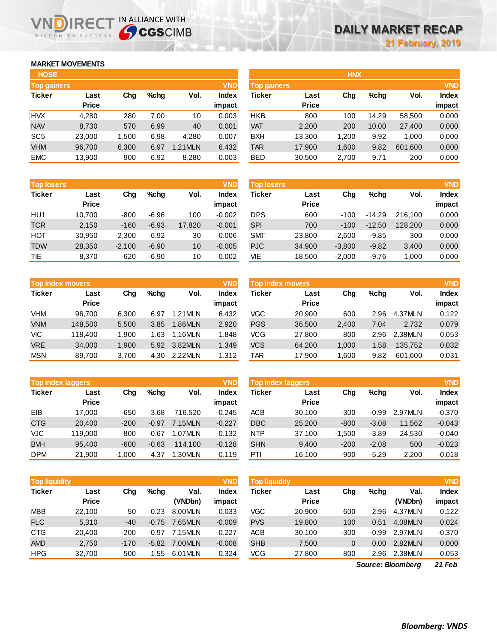### **MARKET MOVEMENTS**

WISDOM TO SUCCESS

| <b>HOSE</b>        |              |       |      |         |              |
|--------------------|--------------|-------|------|---------|--------------|
| <b>Top gainers</b> |              |       |      |         | <b>VND</b>   |
| <b>Ticker</b>      | Last         | Cha   | %chq | Vol.    | <b>Index</b> |
|                    | <b>Price</b> |       |      |         | impact       |
| <b>HVX</b>         | 4,280        | 280   | 7.00 | 10      | 0.003        |
| <b>NAV</b>         | 8,730        | 570   | 6.99 | 40      | 0.001        |
| SC <sub>5</sub>    | 23,000       | 1,500 | 6.98 | 4.280   | 0.007        |
| <b>VHM</b>         | 96,700       | 6,300 | 6.97 | 1.21MLN | 6.432        |
| <b>EMC</b>         | 13,900       | 900   | 6.92 | 8,280   | 0.003        |

NDIRECT IN ALLIANCE WITH

| <b>Top losers</b> |              |          |         |        | <b>VND</b>   |
|-------------------|--------------|----------|---------|--------|--------------|
| <b>Ticker</b>     | Last         | Cha      | $%$ chg | Vol.   | <b>Index</b> |
|                   | <b>Price</b> |          |         |        | impact       |
| HU1               | 10,700       | $-800$   | $-6.96$ | 100    | $-0.002$     |
| <b>TCR</b>        | 2,150        | $-160$   | $-6.93$ | 17,820 | $-0.001$     |
| HOT               | 30,950       | $-2,300$ | $-6.92$ | 30     | $-0.006$     |
| <b>TDW</b>        | 28,350       | $-2,100$ | $-6.90$ | 10     | $-0.005$     |
| <b>TIE</b>        | 8,370        | $-620$   | $-6.90$ | 10     | $-0.002$     |

|               | <b>Top index movers</b> |       |         | <b>VND</b> |              |
|---------------|-------------------------|-------|---------|------------|--------------|
| <b>Ticker</b> | Last                    | Cha   | $%$ chq | Vol.       | <b>Index</b> |
|               | <b>Price</b>            |       |         |            | impact       |
| <b>VHM</b>    | 96,700                  | 6,300 | 6.97    | 1.21MLN    | 6.432        |
| <b>VNM</b>    | 148,500                 | 5,500 | 3.85    | 1.86MLN    | 2.920        |
| VIC           | 118,400                 | 1,900 | 1.63    | 1.16MLN    | 1.848        |
| <b>VRE</b>    | 34,000                  | 1,900 | 5.92    | 3.82MLN    | 1.349        |
| <b>MSN</b>    | 89,700                  | 3,700 | 4.30    | 2.22MLN    | 1.312        |

| <b>Top index laggers</b> |              |          |         | <b>VND</b> |              |
|--------------------------|--------------|----------|---------|------------|--------------|
| <b>Ticker</b>            | Last         | Cha      | %chq    | Vol.       | <b>Index</b> |
|                          | <b>Price</b> |          |         |            | impact       |
| FIB                      | 17,000       | $-650$   | $-3.68$ | 716.520    | $-0.245$     |
| <b>CTG</b>               | 20,400       | $-200$   | $-0.97$ | 7.15MLN    | $-0.227$     |
| <b>VJC</b>               | 119,000      | $-800$   | $-0.67$ | 1.07MLN    | $-0.132$     |
| <b>BVH</b>               | 95,400       | $-600$   | $-0.63$ | 114.100    | $-0.128$     |
| <b>DPM</b>               | 21,900       | $-1,000$ | -4.37   | 1.30MLN    | $-0.119$     |

| <b>Top liquidity</b><br><b>VND</b> |              |        |         |         |          | <b>Top liquidity</b> |              |        |         | <b>VND</b> |              |
|------------------------------------|--------------|--------|---------|---------|----------|----------------------|--------------|--------|---------|------------|--------------|
| <b>Ticker</b>                      | Last         | Chg    | %cha    | Val.    | Index    | Ticker               | Last         | Chg    | $%$ chq | Val.       | <b>Index</b> |
|                                    | <b>Price</b> |        |         | (VNDbn) | impact   |                      | <b>Price</b> |        |         | (VNDbn)    | impact       |
| <b>MBB</b>                         | 22.100       | 50     | 0.23    | 8.00MLN | 0.033    | VGC                  | 20.900       | 600    | 2.96    | 4.37MLN    | 0.122        |
| <b>FLC</b>                         | 5,310        | $-40$  | $-0.75$ | 7.65MLN | $-0.009$ | <b>PVS</b>           | 19,800       | 100    | 0.51    | 4.08MLN    | 0.024        |
| <b>CTG</b>                         | 20.400       | $-200$ | $-0.97$ | 7.15MLN | $-0.227$ | ACB                  | 30.100       | $-300$ | $-0.99$ | 2.97MLN    | $-0.370$     |
| <b>AMD</b>                         | 2,750        | $-170$ | $-5.82$ | 7.00MLN | $-0.008$ | <b>SHB</b>           | 7,500        | 0      | 0.00    | 2.82MLN    | 0.000        |
| <b>HPG</b>                         | 32.700       | 500    | .55     | 6.01MLN | 0.324    | VCG                  | 27.800       | 800    | 2.96    | 2.38MLN    | 0.053        |

| <b>VND</b>           |
|----------------------|
| <b>Index</b><br>Vol. |
| impact               |
| 0.000<br>58,500      |
| 0.000<br>27,400      |
| 0.000<br>1.000       |
| 0.000<br>601,600     |
| 0.000<br>200         |
|                      |

| <b>Top losers</b> |                      |          |         |        | <b>VND</b>             | <b>Top losers</b> |                      |          |          |         | <b>VND</b>             |
|-------------------|----------------------|----------|---------|--------|------------------------|-------------------|----------------------|----------|----------|---------|------------------------|
| <b>Ticker</b>     | Last<br><b>Price</b> | Chg      | $%$ chq | Vol.   | <b>Index</b><br>impact | Ticker            | Last<br><b>Price</b> | Chg      | %chq     | Vol.    | <b>Index</b><br>impact |
| HU1               | 10.700               | $-800$   | $-6.96$ | 100    | $-0.002$               | <b>DPS</b>        | 600                  | $-100$   | $-14.29$ | 216.100 | 0.000                  |
| <b>TCR</b>        | 2,150                | $-160$   | $-6.93$ | 17,820 | $-0.001$               | <b>SPI</b>        | 700                  | $-100$   | $-12.50$ | 128,200 | 0.000                  |
| нот               | 30,950               | $-2,300$ | $-6.92$ | 30     | $-0.006$               | <b>SMT</b>        | 23,800               | $-2.600$ | $-9.85$  | 300     | 0.000                  |
| <b>TDW</b>        | 28,350               | $-2,100$ | $-6.90$ | 10     | $-0.005$               | <b>PJC</b>        | 34,900               | $-3,800$ | $-9.82$  | 3,400   | 0.000                  |
| TIE               | 8,370                | $-620$   | $-6.90$ | 10     | $-0.002$               | VIE               | 18,500               | $-2,000$ | $-9.76$  | 1,000   | 0.000                  |
|                   |                      |          |         |        |                        |                   |                      |          |          |         |                        |

| <b>VND</b><br>Top index movers |              |       |         |         |        | <b>Top index movers</b> |              |       |         |         |              |
|--------------------------------|--------------|-------|---------|---------|--------|-------------------------|--------------|-------|---------|---------|--------------|
| Ticker                         | Last         | Chg   | $%$ chq | Vol.    | Index  | Ticker                  | Last         | Chg   | $%$ chq | Vol.    | <b>Index</b> |
|                                | <b>Price</b> |       |         |         | impact |                         | <b>Price</b> |       |         |         | impact       |
| VHM                            | 96.700       | 6.300 | 6.97    | 1.21MLN | 6.432  | VGC                     | 20,900       | 600   | 2.96    | 4.37MLN | 0.122        |
| <b>VNM</b>                     | 148,500      | 5,500 | 3.85    | 1.86MLN | 2.920  | <b>PGS</b>              | 36,500       | 2,400 | 7.04    | 2.732   | 0.079        |
| VIC                            | 118,400      | 1.900 | 1.63    | .16MLN  | 1.848  | VCG                     | 27,800       | 800   | 2.96    | 2.38MLN | 0.053        |
| <b>VRE</b>                     | 34,000       | 1.900 | 5.92    | 3.82MLN | 1.349  | <b>VCS</b>              | 64.200       | 1.000 | 1.58    | 135.752 | 0.032        |
| MSN                            | 89,700       | 3,700 | 4.30    | 2.22MLN | 1.312  | TAR                     | 17,900       | .600  | 9.82    | 601.600 | 0.031        |

| <b>Top index laggers</b> |              |          |         |         | <b>VND</b>   | Top index laggers |              |          |         |         |              |
|--------------------------|--------------|----------|---------|---------|--------------|-------------------|--------------|----------|---------|---------|--------------|
| <b>Ticker</b>            | Last         | Chg      | $%$ chq | Vol.    | <b>Index</b> | Ticker            | Last         | Chg      | %chq    | Vol.    | <b>Index</b> |
|                          | <b>Price</b> |          |         |         | impact       |                   | <b>Price</b> |          |         |         | impact       |
| EIB                      | 17.000       | $-650$   | $-3.68$ | 716.520 | $-0.245$     | <b>ACB</b>        | 30.100       | $-300$   | $-0.99$ | 2.97MLN | $-0.370$     |
| <b>CTG</b>               | 20.400       | $-200$   | $-0.97$ | 7.15MLN | $-0.227$     | <b>DBC</b>        | 25,200       | $-800$   | $-3.08$ | 11,562  | $-0.043$     |
| VJC                      | 119,000      | $-800$   | $-0.67$ | 1.07MLN | $-0.132$     | <b>NTP</b>        | 37.100       | $-1.500$ | $-3.89$ | 24.530  | $-0.040$     |
| <b>BVH</b>               | 95.400       | $-600$   | $-0.63$ | 114,100 | $-0.128$     | <b>SHN</b>        | 9,400        | $-200$   | $-2.08$ | 500     | $-0.023$     |
| DPM                      | 21.900       | $-1.000$ | $-4.37$ | 1.30MLN | $-0.119$     | PTI               | 16.100       | $-900$   | $-5.29$ | 2,200   | $-0.018$     |

| <b>Top liquidity</b> |              |        |         |         | <b>VND</b>   | <b>Top liquidity</b> |              |        |         |         | <b>VND</b> |
|----------------------|--------------|--------|---------|---------|--------------|----------------------|--------------|--------|---------|---------|------------|
| <b>Ticker</b>        | Last         | Chg    | $%$ chq | Val.    | <b>Index</b> | Ticker               | Last         | Chg    | $%$ chq | Val.    | Index      |
|                      | <b>Price</b> |        |         | (VNDbn) | impact       |                      | <b>Price</b> |        |         | (VNDbn) | impact     |
| <b>MBB</b>           | 22.100       | 50     | 0.23    | 8.00MLN | 0.033        | VGC                  | 20,900       | 600    | 2.96    | 4.37MLN | 0.122      |
| <b>FLC</b>           | 5,310        | $-40$  | $-0.75$ | 7.65MLN | $-0.009$     | <b>PVS</b>           | 19,800       | 100    | 0.51    | 4.08MLN | 0.024      |
| CTG                  | 20.400       | $-200$ | $-0.97$ | 7.15MLN | $-0.227$     | <b>ACB</b>           | 30.100       | $-300$ | $-0.99$ | 2.97MLN | $-0.370$   |
| AMD                  | 2,750        | $-170$ | $-5.82$ | 7.00MLN | $-0.008$     | <b>SHB</b>           | 7,500        | 0      | 0.00    | 2.82MLN | 0.000      |
| HPG                  | 32,700       | 500    | .55     | 6.01MLN | 0.324        | <b>VCG</b>           | 27,800       | 800    | 2.96    | 2.38MLN | 0.053      |
|                      |              |        |         |         |              |                      |              |        |         |         |            |

*21 Feb Source: Bloomberg*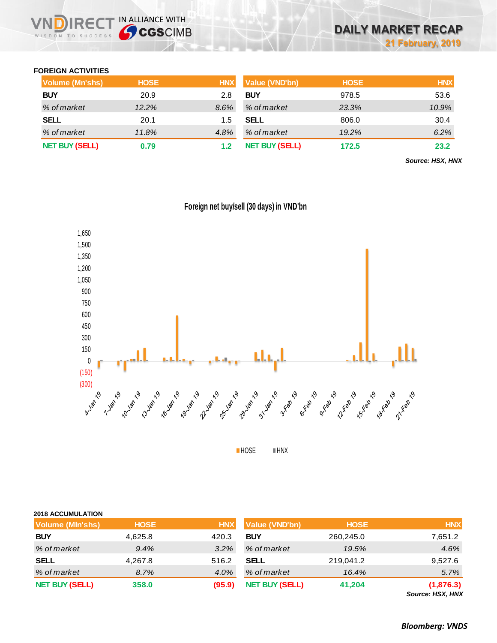### **FOREIGN ACTIVITIES**

WISDOM TO SUCCESS

D

**IRECT IN ALLIANCE WITH** 

| <b>Volume (Mn'shs)</b> | <b>HOSE</b> | <b>HNX</b> | <b>Value (VND'bn)</b> | <b>HOSE</b> | <b>HNX</b> |
|------------------------|-------------|------------|-----------------------|-------------|------------|
| <b>BUY</b>             | 20.9        | 2.8        | <b>BUY</b>            | 978.5       | 53.6       |
| % of market            | 12.2%       | 8.6%       | % of market           | 23.3%       | 10.9%      |
| <b>SELL</b>            | 20.1        | 1.5        | <b>SELL</b>           | 806.0       | 30.4       |
| % of market            | 11.8%       | 4.8%       | % of market           | 19.2%       | 6.2%       |
| <b>NET BUY (SELL)</b>  | 0.79        |            | <b>NET BUY (SELL)</b> | 172.5       | 23.2       |

*Source: HSX, HNX*



**Foreign net buy/sell (30 days) in VND'bn**

**HOSE HNX** 

| <b>2018 ACCUMULATION</b> |             |            |                       |             |            |
|--------------------------|-------------|------------|-----------------------|-------------|------------|
| Volume (MIn'shs)         | <b>HOSE</b> | <b>HNX</b> | <b>Value (VND'bn)</b> | <b>HOSE</b> | <b>HNX</b> |
| <b>BUY</b>               | 4,625.8     | 420.3      | <b>BUY</b>            | 260,245.0   | 7,651.2    |
| % of market              | 9.4%        | $3.2\%$    | % of market           | 19.5%       | 4.6%       |
| <b>SELL</b>              | 4,267.8     | 516.2      | <b>SELL</b>           | 219,041.2   | 9,527.6    |
| % of market              | 8.7%        | 4.0%       | % of market           | 16.4%       | 5.7%       |
| <b>NET BUY (SELL)</b>    | 358.0       | (95.9)     | <b>NET BUY (SELL)</b> | 41,204      | (1,876.3)  |

*Source: HSX, HNX*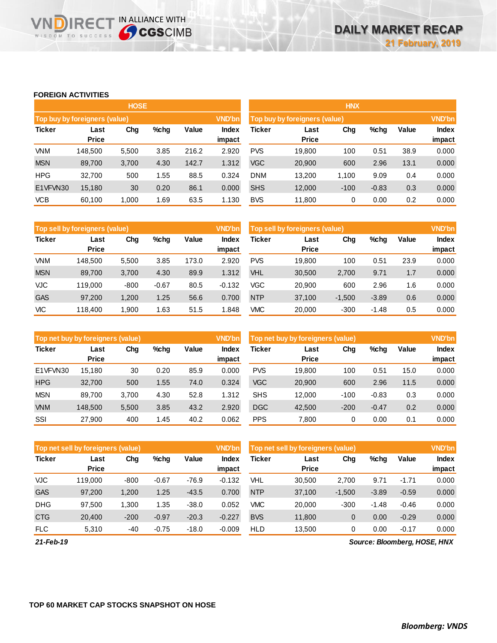### **FOREIGN ACTIVITIES**

**VNDIRECT IN ALLIANCE WITH** 

|               |                                          | <b>HOSE</b> |      |       |                 | <b>HNX</b>                                     |              |                        |         |      |       |  |
|---------------|------------------------------------------|-------------|------|-------|-----------------|------------------------------------------------|--------------|------------------------|---------|------|-------|--|
|               | Top buy by foreigners (value)            |             |      |       | <b>VND'bn</b>   | <b>VND'bn</b><br>Top buy by foreigners (value) |              |                        |         |      |       |  |
| <b>Ticker</b> | Chg<br>$%$ chg<br>Value<br>Last<br>Price |             |      |       | Index<br>impact | Ticker                                         | Value        | <b>Index</b><br>impact |         |      |       |  |
|               |                                          |             |      |       |                 |                                                | <b>Price</b> |                        |         |      |       |  |
| <b>VNM</b>    | 148.500                                  | 5,500       | 3.85 | 216.2 | 2.920           | <b>PVS</b>                                     | 19,800       | 100                    | 0.51    | 38.9 | 0.000 |  |
| <b>MSN</b>    | 89,700                                   | 3,700       | 4.30 | 142.7 | 1.312           | <b>VGC</b>                                     | 20,900       | 600                    | 2.96    | 13.1 | 0.000 |  |
| <b>HPG</b>    | 32,700                                   | 500         | 1.55 | 88.5  | 0.324           | <b>DNM</b>                                     | 13,200       | 1.100                  | 9.09    | 0.4  | 0.000 |  |
| E1VFVN30      | 15,180                                   | 30          | 0.20 | 86.1  | 0.000           | <b>SHS</b>                                     | 12,000       | $-100$                 | $-0.83$ | 0.3  | 0.000 |  |
| <b>VCB</b>    | 60,100                                   | 1,000       | 1.69 | 63.5  | 1.130           | <b>BVS</b>                                     | 11,800       | 0                      | 0.00    | 0.2  | 0.000 |  |

|               | Top sell by foreigners (value) |        |         |       | <b>VND'bn</b> | <b>VND'bn</b><br>Top sell by foreigners (value) |              |          |         |       |        |
|---------------|--------------------------------|--------|---------|-------|---------------|-------------------------------------------------|--------------|----------|---------|-------|--------|
| <b>Ticker</b> | Value<br>Chg<br>%chg<br>Last   |        |         | Index | Ticker        | Chg<br>Last                                     |              | %chg     | Value   | Index |        |
|               | <b>Price</b>                   |        |         |       | impact        |                                                 | <b>Price</b> |          |         |       | impact |
| <b>VNM</b>    | 148.500                        | 5,500  | 3.85    | 173.0 | 2.920         | <b>PVS</b>                                      | 19,800       | 100      | 0.51    | 23.9  | 0.000  |
| <b>MSN</b>    | 89,700                         | 3,700  | 4.30    | 89.9  | 1.312         | VHL                                             | 30,500       | 2,700    | 9.71    | 1.7   | 0.000  |
| <b>VJC</b>    | 119.000                        | $-800$ | $-0.67$ | 80.5  | $-0.132$      | VGC                                             | 20,900       | 600      | 2.96    | 1.6   | 0.000  |
| <b>GAS</b>    | 97,200                         | 1.200  | 1.25    | 56.6  | 0.700         | <b>NTP</b>                                      | 37,100       | $-1,500$ | $-3.89$ | 0.6   | 0.000  |
| VIC           | 118.400                        | 1.900  | 1.63    | 51.5  | .848          | VMC                                             | 20,000       | $-300$   | $-1.48$ | 0.5   | 0.000  |

|               | Top net buy by foreigners (value) |       |         |       | <b>VND'bn</b>   | Top net buy by foreigners (value) |                      |        |         |       |                        |
|---------------|-----------------------------------|-------|---------|-------|-----------------|-----------------------------------|----------------------|--------|---------|-------|------------------------|
| <b>Ticker</b> | Last<br><b>Price</b>              | Chg   | $%$ chg | Value | Index<br>impact | Ticker                            | Last<br><b>Price</b> | Chg    | %chg    | Value | <b>Index</b><br>impact |
| E1VFVN30      | 15.180                            | 30    | 0.20    | 85.9  | 0.000           | <b>PVS</b>                        | 19.800               | 100    | 0.51    | 15.0  | 0.000                  |
| <b>HPG</b>    | 32.700                            | 500   | 1.55    | 74.0  | 0.324           | <b>VGC</b>                        | 20,900               | 600    | 2.96    | 11.5  | 0.000                  |
| <b>MSN</b>    | 89.700                            | 3.700 | 4.30    | 52.8  | 1.312           | <b>SHS</b>                        | 12.000               | $-100$ | $-0.83$ | 0.3   | 0.000                  |
| <b>VNM</b>    | 148,500                           | 5,500 | 3.85    | 43.2  | 2.920           | <b>DGC</b>                        | 42,500               | $-200$ | $-0.47$ | 0.2   | 0.000                  |
| SSI           | 27,900                            | 400   | 1.45    | 40.2  | 0.062           | <b>PPS</b>                        | 7.800                | 0      | 0.00    | 0.1   | 0.000                  |

|               | Top net sell by foreigners (value) |        |         |         | <b>VND'bn</b> | Top net sell by foreigners (value) | <b>VND'bn</b> |          |         |              |        |
|---------------|------------------------------------|--------|---------|---------|---------------|------------------------------------|---------------|----------|---------|--------------|--------|
| <b>Ticker</b> | Last                               | Chg    | %chg    | Value   | Index         | Ticker                             | Last          | Chg      | $%$ chg | <b>Value</b> | Index  |
|               | <b>Price</b>                       |        |         |         | impact        |                                    | <b>Price</b>  |          |         |              | impact |
| <b>VJC</b>    | 119.000                            | $-800$ | $-0.67$ | $-76.9$ | $-0.132$      | VHL                                | 30.500        | 2,700    | 9.71    | $-1.71$      | 0.000  |
| <b>GAS</b>    | 97,200                             | 1,200  | 1.25    | $-43.5$ | 0.700         | <b>NTP</b>                         | 37,100        | $-1.500$ | $-3.89$ | $-0.59$      | 0.000  |
| <b>DHG</b>    | 97,500                             | 1,300  | 1.35    | $-38.0$ | 0.052         | <b>VMC</b>                         | 20,000        | $-300$   | $-1.48$ | $-0.46$      | 0.000  |
| <b>CTG</b>    | 20,400                             | $-200$ | $-0.97$ | $-20.3$ | $-0.227$      | <b>BVS</b>                         | 11,800        | 0        | 0.00    | $-0.29$      | 0.000  |
| <b>FLC</b>    | 5,310                              | $-40$  | $-0.75$ | $-18.0$ | $-0.009$      | <b>HLD</b>                         | 13,500        | 0        | 0.00    | $-0.17$      | 0.000  |

*21-Feb-19*

*Source: Bloomberg, HOSE, HNX*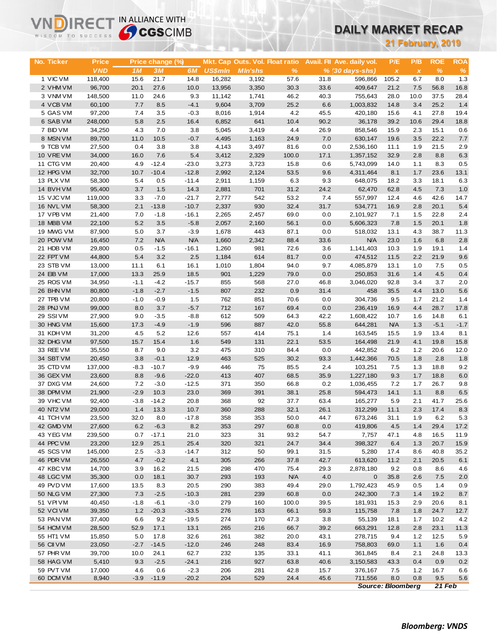# **DAILY MARKET RECAP**

| WISDOM TO SUCCESS      |                   | <b>Sy CGS</b> CIMB |                  |                 |                |                                 |              |             | <u>DAILY MARKET RECAP</u>  |                          |                           |                          |             |
|------------------------|-------------------|--------------------|------------------|-----------------|----------------|---------------------------------|--------------|-------------|----------------------------|--------------------------|---------------------------|--------------------------|-------------|
|                        |                   |                    |                  |                 |                |                                 |              |             |                            |                          |                           | <b>21 February, 2019</b> |             |
|                        |                   |                    |                  |                 |                |                                 |              |             |                            |                          |                           |                          |             |
| No. Ticker             | <b>Price</b>      |                    | Price change (%) |                 |                | Mkt. Cap Outs. Vol. Float ratio |              |             | Avail. Fil Ave. daily vol. | P/E                      | P/B                       | <b>ROE</b>               | <b>ROA</b>  |
|                        | <b>VND</b>        | 1M                 | 3M               | 6M              | <b>US\$mln</b> | <b>MIn'shs</b>                  | %            |             | $% (30 days-shs)$          | $\pmb{\chi}$             | $\boldsymbol{\mathsf{x}}$ | $\%$                     | $\%$        |
| 1 VIC VM               | 118,400           | 15.6               | 21.7             | 14.8            | 16,282         | 3,192                           | 57.6         | 31.8        | 596,866                    | 105.2                    | 6.7                       | 8.0                      | 1.3         |
| 2 VHM VM               | 96,700            | 20.1               | 27.6             | 10.0            | 13,956         | 3,350                           | 30.3         | 33.6        | 409,647                    | 21.2                     | 7.5                       | 56.8                     | 16.8        |
| 3 VNM VM               | 148,500           | 11.0               | 24.6             | 9.3             | 11,142         | 1,741                           | 46.2         | 40.3        | 755,643                    | 28.0                     | 10.0                      | 37.5                     | 28.4        |
| 4 VCB VM               | 60,100            | 7.7                | 8.5              | $-4.1$          | 9,604          | 3,709                           | 25.2         | 6.6         | 1,003,832                  | 14.8                     | 3.4                       | 25.2                     | 1.4         |
| 5 GAS VM               | 97,200            | 7.4                | 3.5              | $-0.3$          | 8,016          | 1,914                           | 4.2          | 45.5        | 420,180                    | 15.6                     | 4.1                       | 27.8                     | 19.4        |
| 6 SAB VM               | 248,000           | 5.8                | 2.5              | 16.4            | 6,852          | 641                             | 10.4         | 90.2        | 36,178                     | 39.2                     | 10.6                      | 29.4                     | 18.8        |
| 7 BID VM               | 34,250            | 4.3                | 7.0              | 3.8             | 5,045          | 3,419                           | 4.4          | 26.9        | 858,546                    | 15.9                     | 2.3                       | 15.1                     | 0.6         |
| 8 MSN VM               | 89,700            | 11.0               | 10.5             | $-0.7$          | 4,495          | 1,163                           | 24.9         | 7.0         | 630,147                    | 19.6                     | 3.5                       | 22.2                     | 7.7         |
| 9 TCB VM               | 27,500            | 0.4                | 3.8              | 3.8             | 4,143          | 3,497                           | 81.6         | 0.0         | 2,536,160                  | 11.1                     | 1.9                       | 21.5                     | 2.9         |
| 10 VRE VM              | 34,000            | 16.0               | 7.6              | 5.4             | 3,412          | 2,329                           | 100.0        | 17.1        | 1,357,152                  | 32.9                     | 2.8                       | 8.8                      | 6.3         |
| 11 CTG VM              | 20,400            | 4.9                | $-12.4$          | $-23.0$         | 3,273          | 3,723                           | 15.8         | 0.6         | 5,743,099                  | 14.0                     | 1.1                       | 8.3                      | 0.5         |
| 12 HPG VM              | 32,700            | 10.7               | $-10.4$          | $-12.8$         | 2,992          | 2,124                           | 53.5         | 9.6         | 4,311,464                  | 8.1                      | 1.7                       | 23.6                     | 13.1        |
| 13 PLX VM              | 58,300            | 5.4<br>3.7         | 0.5              | $-11.4$<br>14.3 | 2,911          | 1,159                           | 6.3          | 9.3         | 648,075                    | 18.2<br>62.8             | 3.3<br>4.5                | 18.1<br>7.3              | 6.3         |
| 14 BVHVM<br>15 VJC VM  | 95,400<br>119,000 | 3.3                | 1.5<br>$-7.0$    | $-21.7$         | 2,881<br>2,777 | 701<br>542                      | 31.2<br>53.2 | 24.2<br>7.4 | 62,470<br>557,997          | 12.4                     | 4.6                       | 42.6                     | 1.0<br>14.7 |
| 16 NVL VM              | 58,300            | 2.1                | $-13.8$          | $-10.7$         | 2,337          | 930                             | 32.4         | 31.7        | 534,771                    | 16.9                     | 2.8                       | 20.1                     | 5.4         |
| 17 VPB VM              | 21,400            | 7.0                | $-1.8$           | $-16.1$         | 2,265          | 2,457                           | 69.0         | 0.0         | 2,101,927                  | 7.1                      | 1.5                       | 22.8                     | 2.4         |
| 18 MBB VM              | 22,100            | 5.2                | 3.5              | $-5.8$          | 2,057          | 2,160                           | 56.1         | 0.0         | 5,606,323                  | 7.8                      | 1.5                       | 20.1                     | 1.8         |
| 19 MWG VM              | 87,900            | 5.0                | 3.7              | $-3.9$          | 1,678          | 443                             | 87.1         | 0.0         | 518,032                    | 13.1                     | 4.3                       | 38.7                     | 11.3        |
| 20 POW VM              | 16,450            | 7.2                | <b>N/A</b>       | <b>N/A</b>      | 1,660          | 2,342                           | 88.4         | 33.6        | <b>N/A</b>                 | 23.0                     | 1.6                       | 6.8                      | 2.8         |
| 21 HDB VM              | 29,800            | 0.5                | $-1.5$           | $-16.1$         | 1,260          | 981                             | 72.6         | 3.6         | 1,141,403                  | 10.3                     | 1.9                       | 19.1                     | 1.4         |
| 22 FPT VM              | 44,800            | 5.4                | 3.2              | 2.5             | 1,184          | 614                             | 81.7         | 0.0         | 474,512                    | 11.5                     | 2.2                       | 21.9                     | 9.6         |
| 23 STB VM              | 13,000            | 11.1               | 6.1              | 16.1            | 1,010          | 1,804                           | 94.0         | 9.7         | 4,085,879                  | 13.1                     | 1.0                       | 7.5                      | 0.5         |
| 24 EIB VM              | 17,000            | 13.3               | 25.9             | 18.5            | 901            | 1,229                           | 79.0         | 0.0         | 250,853                    | 31.6                     | 1.4                       | 4.5                      | 0.4         |
| 25 ROS VM              | 34,950            | $-1.1$             | $-4.2$           | $-15.7$         | 855            | 568                             | 27.0         | 46.8        | 3,046,020                  | 92.8                     | 3.4                       | 3.7                      | 2.0         |
| 26 BHN VM              | 80,800            | $-1.8$             | $-2.7$           | $-1.5$          | 807            | 232                             | 0.9          | 31.4        | 458                        | 35.5                     | 4.4                       | 13.0                     | 5.6         |
| 27 TPB VM              | 20,800            | $-1.0$             | $-0.9$           | 1.5             | 762            | 851                             | 70.6         | 0.0         | 304,736                    | 9.5                      | 1.7                       | 21.2                     | 1.4         |
| 28 PNJ VM              | 99,000            | 8.0                | 3.7              | $-5.7$          | 712            | 167                             | 69.4         | 0.0         | 236,419                    | 16.9                     | 4.4                       | 28.7                     | 17.8        |
| 29 SSIVM               | 27,900            | 9.0                | $-3.5$           | $-8.8$          | 612            | 509                             | 64.3         | 42.2        | 1,608,422                  | 10.7                     | 1.6                       | 14.8                     | 6.1         |
| 30 HNG VM              | 15,600            | 17.3               | $-4.9$           | $-1.9$          | 596            | 887                             | 42.0         | 55.8        | 644,281                    | <b>N/A</b>               | 1.3                       | $-5.1$                   | $-1.7$      |
| 31 KDH VM              | 31,200            | 4.5                | 5.2              | 12.6            | 557            | 414                             | 75.1         | 1.4         | 163,545                    | 15.5                     | 1.9                       | 13.4                     | 8.1         |
| 32 DHG VM              | 97,500            | 15.7               | 15.4             | 1.6             | 549            | 131                             | 22.1         | 53.5        | 164,498                    | 21.9                     | 4.1                       | 19.8                     | 15.8        |
| 33 REE VM              | 35,550            | 8.7                | 9.0              | 3.2             | 475            | 310                             | 84.4         | 0.0         | 442,852                    | 6.2                      | 1.2                       | 20.6                     | 12.0        |
| 34 SBT VM              | 20,450            | 3.8                | $-0.1$           | 12.9            | 463            | 525                             | 30.2         | 93.3        | 1,442,366                  | 70.5                     | 1.8                       | 2.8                      | 1.8         |
| 35 CTD VM              | 137,000           | $-8.3$             | $-10.7$          | $-9.9$          | 446            | 75                              | 85.5         | 2.4         | 103,251                    | 7.5                      | 1.3                       | 18.8                     | 9.2         |
| 36 GEX VM              | 23,600            | 8.8                | $-9.6$           | $-22.0$         | 413            | 407                             | 68.5         | 35.9        | 1,227,180                  | 9.3                      | 1.7                       | 18.8                     | 6.0         |
| 37 DXG VM              | 24,600            | 7.2                | $-3.0$           | $-12.5$         | 371            | 350                             | 66.8         | 0.2         | 1,036,455                  | 7.2                      | 1.7                       | 26.7                     | 9.8         |
| 38 DPM VM              | 21,900            | $-2.9$             | 10.3             | 23.0            | 369            | 391                             | 38.1         | 25.8        | 594,473                    | 14.1                     | 1.1                       | 8.8                      | $6.5\,$     |
| 39 VHC VM              | 92,400            | $-3.8$             | $-14.2$          | 20.8            | 368            | 92                              | 37.7         | 63.4        | 165,277                    | 5.9                      | 2.1                       | 41.7                     | 25.6        |
| 40 NT2 VM              | 29,000            | 1.4                | 13.3             | 10.7            | 360            | 288                             | 32.1         | 26.1        | 312,299                    | 11.1                     | 2.3                       | 17.4                     | 8.3         |
| 41 TCH VM<br>42 GMD VM | 23,500<br>27,600  | 32.0<br>6.2        | 8.0<br>$-6.3$    | $-17.8$<br>8.2  | 358<br>353     | 353<br>297                      | 50.0<br>60.8 | 44.7<br>0.0 | 673,246<br>419,806         | 31.1<br>4.5              | 1.9<br>1.4                | 6.2<br>29.4              | 5.3<br>17.2 |
| 43 YEG VM              | 239,500           | 0.7                | $-17.1$          | 21.0            | 323            | 31                              | 93.2         | 54.7        | 7,757                      | 47.1                     | 4.8                       | 16.5                     | 11.9        |
| 44 PPC VM              | 23,200            | 12.9               | 25.1             | 25.4            | 320            | 321                             | 24.7         | 34.4        | 398,327                    | 6.4                      | 1.3                       | 20.7                     | 15.9        |
| 45 SCS VM              | 145,000           | 2.5                | $-3.3$           | $-14.7$         | 312            | 50                              | 99.1         | 31.5        | 5,280                      | 17.4                     | 8.6                       | 40.8                     | 35.2        |
| 46 PDR VM              | 26,550            | 4.7                | $-0.2$           | 4.1             | 305            | 266                             | 37.8         | 42.7        | 613,620                    | 11.2                     | 2.1                       | 20.5                     | 6.1         |
| 47 KBC VM              | 14,700            | 3.9                | 16.2             | 21.5            | 298            | 470                             | 75.4         | 29.3        | 2,878,180                  | 9.2                      | 0.8                       | 8.6                      | 4.6         |
| 48 LGC VM              | 35,300            | 0.0                | 18.1             | 30.7            | 293            | 193                             | <b>N/A</b>   | 4.0         | $\mathbf 0$                | 35.8                     | 2.6                       | 7.5                      | 2.0         |
| 49 PVD VM              | 17,600            | 13.5               | 8.3              | 20.5            | 290            | 383                             | 49.4         | 29.0        | 1,792,423                  | 45.9                     | 0.5                       | $1.4$                    | 0.9         |
| 50 NLG VM              | 27,300            | 7.3                | $-2.5$           | $-10.3$         | 281            | 239                             | 60.8         | 0.0         | 242,300                    | 7.3                      | 1.4                       | 19.2                     | 8.7         |
| 51 VPI VM              | 40,450            | $-1.8$             | $-6.1$           | $-3.0$          | 279            | 160                             | 100.0        | 39.5        | 181,931                    | 15.3                     | 2.9                       | 20.6                     | 8.1         |
| 52 VCI VM              | 39,350            | 1.2                | $-20.3$          | $-33.5$         | 276            | 163                             | 66.1         | 59.3        | 115,758                    | 7.8                      | 1.8                       | 24.7                     | 12.7        |
| 53 PAN VM              | 37,400            | 6.6                | 9.2              | $-19.5$         | 274            | 170                             | 47.3         | 3.8         | 55,139                     | 18.1                     | 1.7                       | 10.2                     | 4.2         |
| 54 HCM VM              | 28,500            | 52.9               | 17.1             | 13.1            | 265            | 216                             | 66.7         | 39.2        | 663,291                    | 12.8                     | 2.8                       | 23.1                     | 11.3        |
| 55 HT1 VM              | 15,850            | 5.0                | 17.8             | 32.6            | 261            | 382                             | 20.0         | 43.1        | 278,715                    | 9.4                      | 1.2                       | 12.5                     | 5.9         |
| 56 CII VM              | 23,050            | $-2.7$             | $-14.5$          | $-12.0$         | 246            | 248                             | 83.4         | 16.9        | 758,803                    | 69.0                     | 1.1                       | 1.6                      | 0.4         |
| 57 PHR VM              | 39,700            | 10.0               | 24.1             | 62.7            | 232            | 135                             | 33.1         | 41.1        | 361,845                    | 8.4                      | 2.1                       | 24.8                     | 13.3        |
| 58 HAG VM              | 5,410             | 9.3                | $-2.5$           | $-24.1$         | 216            | 927                             | 63.8         | 40.6        | 3,150,583                  | 43.3                     | 0.4                       | 0.9                      | 0.2         |
| 59 PVT VM              | 17,000            | 4.6                | 0.6              | $-2.3$          | 206            | 281                             | 42.8         | 15.7        | 376,167                    | 7.5                      | 1.2                       | 16.7                     | 6.6         |
| 60 DCM VM              | 8,940             |                    | $-3.9 - 11.9$    | $-20.2$         | 204            | 529                             | 24.4         | 45.6        | 711,556                    | 8.0                      | 0.8                       | 9.5                      | 5.6         |
|                        |                   |                    |                  |                 |                |                                 |              |             |                            | <b>Source: Bloomberg</b> |                           | 21 Feb                   |             |

**VNDIRECT IN ALLIANCE WITH**